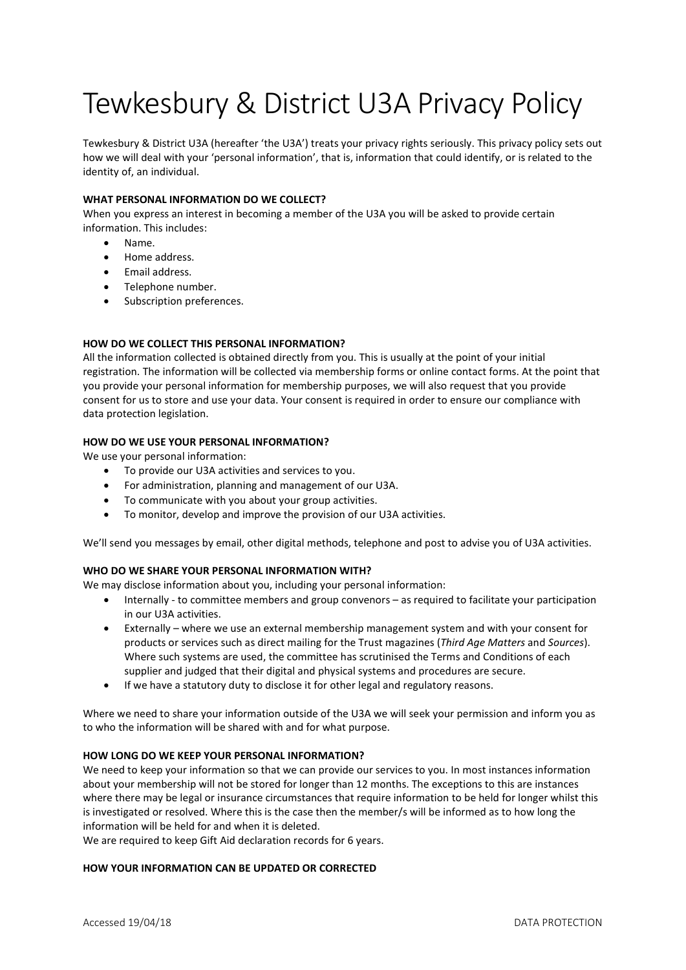# Tewkesbury & District U3A Privacy Policy

Tewkesbury & District U3A (hereafter 'the U3A') treats your privacy rights seriously. This privacy policy sets out how we will deal with your 'personal information', that is, information that could identify, or is related to the identity of, an individual.

# WHAT PERSONAL INFORMATION DO WE COLLECT?

When you express an interest in becoming a member of the U3A you will be asked to provide certain information. This includes:

- Name.
- Home address.
- Email address.
- Telephone number.
- Subscription preferences.

# HOW DO WE COLLECT THIS PERSONAL INFORMATION?

All the information collected is obtained directly from you. This is usually at the point of your initial registration. The information will be collected via membership forms or online contact forms. At the point that you provide your personal information for membership purposes, we will also request that you provide consent for us to store and use your data. Your consent is required in order to ensure our compliance with data protection legislation.

## HOW DO WE USE YOUR PERSONAL INFORMATION?

We use your personal information:

- To provide our U3A activities and services to you.
- For administration, planning and management of our U3A.
- To communicate with you about your group activities.
- To monitor, develop and improve the provision of our U3A activities.

We'll send you messages by email, other digital methods, telephone and post to advise you of U3A activities.

## WHO DO WE SHARE YOUR PERSONAL INFORMATION WITH?

We may disclose information about you, including your personal information:

- Internally to committee members and group convenors as required to facilitate your participation in our U3A activities.
- Externally where we use an external membership management system and with your consent for products or services such as direct mailing for the Trust magazines (Third Age Matters and Sources). Where such systems are used, the committee has scrutinised the Terms and Conditions of each supplier and judged that their digital and physical systems and procedures are secure.
- If we have a statutory duty to disclose it for other legal and regulatory reasons.

Where we need to share your information outside of the U3A we will seek your permission and inform you as to who the information will be shared with and for what purpose.

## HOW LONG DO WE KEEP YOUR PERSONAL INFORMATION?

We need to keep your information so that we can provide our services to you. In most instances information about your membership will not be stored for longer than 12 months. The exceptions to this are instances where there may be legal or insurance circumstances that require information to be held for longer whilst this is investigated or resolved. Where this is the case then the member/s will be informed as to how long the information will be held for and when it is deleted.

We are required to keep Gift Aid declaration records for 6 years.

## HOW YOUR INFORMATION CAN BE UPDATED OR CORRECTED